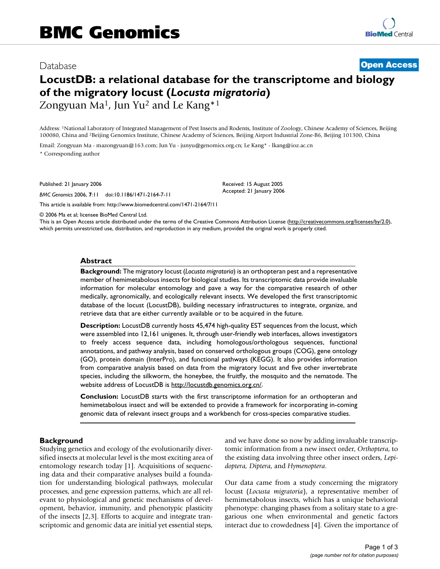# Database **[Open Access](http://www.biomedcentral.com/info/about/charter/)**

# **LocustDB: a relational database for the transcriptome and biology of the migratory locust (***Locusta migratoria***)** Zongyuan Ma<sup>1</sup>, Jun Yu<sup>2</sup> and Le Kang<sup>\*1</sup>

Address: 1National Laboratory of Integrated Management of Pest Insects and Rodents, Institute of Zoology, Chinese Academy of Sciences, Beijing 100080, China and 2Beijing Genomics Institute, Chinese Academy of Sciences, Beijing Airport Industrial Zone-B6, Beijing 101300, China

> Received: 15 August 2005 Accepted: 21 January 2006

Email: Zongyuan Ma - mazongyuan@163.com; Jun Yu - junyu@genomics.org.cn; Le Kang\* - lkang@ioz.ac.cn \* Corresponding author

Published: 21 January 2006

*BMC Genomics* 2006, **7**:11 doi:10.1186/1471-2164-7-11

[This article is available from: http://www.biomedcentral.com/1471-2164/7/11](http://www.biomedcentral.com/1471-2164/7/11)

© 2006 Ma et al; licensee BioMed Central Ltd.

This is an Open Access article distributed under the terms of the Creative Commons Attribution License [\(http://creativecommons.org/licenses/by/2.0\)](http://creativecommons.org/licenses/by/2.0), which permits unrestricted use, distribution, and reproduction in any medium, provided the original work is properly cited.

#### **Abstract**

**Background:** The migratory locust (*Locusta migratoria*) is an orthopteran pest and a representative member of hemimetabolous insects for biological studies. Its transcriptomic data provide invaluable information for molecular entomology and pave a way for the comparative research of other medically, agronomically, and ecologically relevant insects. We developed the first transcriptomic database of the locust (LocustDB), building necessary infrastructures to integrate, organize, and retrieve data that are either currently available or to be acquired in the future.

**Description:** LocustDB currently hosts 45,474 high-quality EST sequences from the locust, which were assembled into 12,161 unigenes. It, through user-friendly web interfaces, allows investigators to freely access sequence data, including homologous/orthologous sequences, functional annotations, and pathway analysis, based on conserved orthologous groups (COG), gene ontology (GO), protein domain (InterPro), and functional pathways (KEGG). It also provides information from comparative analysis based on data from the migratory locust and five other invertebrate species, including the silkworm, the honeybee, the fruitfly, the mosquito and the nematode. The website address of LocustDB is<http://locustdb.genomics.org.cn/>.

**Conclusion:** LocustDB starts with the first transcriptome information for an orthopteran and hemimetabolous insect and will be extended to provide a framework for incorporating in-coming genomic data of relevant insect groups and a workbench for cross-species comparative studies.

#### **Background**

Studying genetics and ecology of the evolutionarily diversified insects at molecular level is the most exciting area of entomology research today [1]. Acquisitions of sequencing data and their comparative analyses build a foundation for understanding biological pathways, molecular processes, and gene expression patterns, which are all relevant to physiological and genetic mechanisms of development, behavior, immunity, and phenotypic plasticity of the insects [2,3]. Efforts to acquire and integrate transcriptomic and genomic data are initial yet essential steps, and we have done so now by adding invaluable transcriptomic information from a new insect order, *Orthoptera*, to the existing data involving three other insect orders, *Lepidoptera, Diptera*, and *Hymenoptera*.

Our data came from a study concerning the migratory locust (*Locusta migratoria*), a representative member of hemimetabolous insects, which has a unique behavioral phenotype: changing phases from a solitary state to a gregarious one when environmental and genetic factors interact due to crowdedness [4]. Given the importance of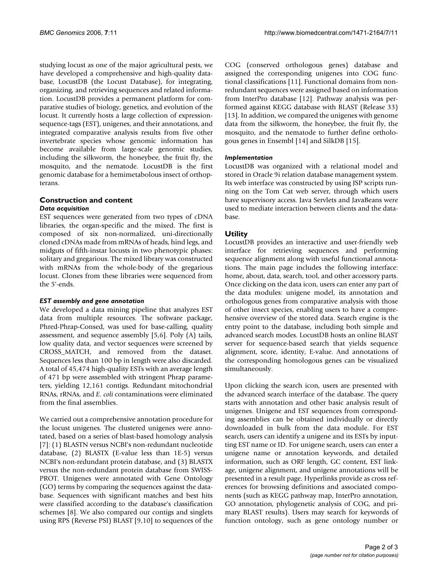studying locust as one of the major agricultural pests, we have developed a comprehensive and high-quality database, LocustDB (the Locust Database), for integrating, organizing, and retrieving sequences and related information. LocustDB provides a permanent platform for comparative studies of biology, genetics, and evolution of the locust. It currently hosts a large collection of expressionsequence-tags (EST), unigenes, and their annotations, and integrated comparative analysis results from five other invertebrate species whose genomic information has become available from large-scale genomic studies, including the silkworm, the honeybee, the fruit fly, the mosquito, and the nematode. LocustDB is the first genomic database for a hemimetabolous insect of orthopterans.

# **Construction and content**

## *Data acquisition*

EST sequences were generated from two types of cDNA libraries, the organ-specific and the mixed. The first is composed of six non-normalized, uni-directionally cloned cDNAs made from mRNAs of heads, hind legs, and midguts of fifth-instar locusts in two phenotypic phases: solitary and gregarious. The mixed library was constructed with mRNAs from the whole-body of the gregarious locust. Clones from these libraries were sequenced from the 5'-ends.

#### *EST assembly and gene annotation*

We developed a data mining pipeline that analyzes EST data from multiple resources. The software package, Phred-Phrap-Consed, was used for base-calling, quality assessment, and sequence assembly [5,6]. Poly (A) tails, low quality data, and vector sequences were screened by CROSS\_MATCH, and removed from the dataset. Sequences less than 100 bp in length were also discarded. A total of 45,474 high-quality ESTs with an average length of 471 bp were assembled with stringent Phrap parameters, yielding 12,161 contigs. Redundant mitochondrial RNAs, rRNAs, and *E. coli* contaminations were eliminated from the final assemblies.

We carried out a comprehensive annotation procedure for the locust unigenes. The clustered unigenes were annotated, based on a series of blast-based homology analysis [7]: (1) BLASTN versus NCBI's non-redundant nucleotide database, (2) BLASTX (E-value less than 1E-5) versus NCBI's non-redundant protein database, and (3) BLASTX versus the non-redundant protein database from SWISS-PROT. Unigenes were annotated with Gene Ontology (GO) terms by comparing the sequences against the database. Sequences with significant matches and best hits were classified according to the database's classification schemes [8]. We also compared our contigs and singlets using RPS (Reverse PSI) BLAST [9,10] to sequences of the COG (conserved orthologous genes) database and assigned the corresponding unigenes into COG functional classifications [11]. Functional domains from nonredundant sequences were assigned based on information from InterPro database [12]. Pathway analysis was performed against KEGG database with BLAST (Release 33) [13]. In addition, we compared the unigenes with genome data from the silkworm, the honeybee, the fruit fly, the mosquito, and the nematode to further define orthologous genes in Ensembl [14] and SilkDB [15].

#### *Implementation*

LocustDB was organized with a relational model and stored in Oracle 9i relation database management system. Its web interface was constructed by using JSP scripts running on the Tom Cat web server, through which users have supervisory access. Java Servlets and JavaBeans were used to mediate interaction between clients and the database.

## **Utility**

LocustDB provides an interactive and user-friendly web interface for retrieving sequences and performing sequence alignment along with useful functional annotations. The main page includes the following interface: home, about, data, search, tool, and other accessory parts. Once clicking on the data icon, users can enter any part of the data modules: unigene model, its annotation and orthologous genes from comparative analysis with those of other insect species, enabling users to have a comprehensive overview of the stored data. Search engine is the entry point to the database, including both simple and advanced search modes. LocustDB hosts an online BLAST server for sequence-based search that yields sequence alignment, score, identity, E-value. And annotations of the corresponding homologous genes can be visualized simultaneously.

Upon clicking the search icon, users are presented with the advanced search interface of the database. The query starts with annotation and other basic analysis result of unigenes. Unigene and EST sequences from corresponding assemblies can be obtained individually or directly downloaded in bulk from the data module. For EST search, users can identify a unigene and its ESTs by inputting EST name or ID. For unigene search, users can enter a unigene name or annotation keywords, and detailed information, such as ORF length, GC content, EST linkage, unigene alignment, and unigene annotations will be presented in a result page. Hyperlinks provide as cross references for browsing definitions and associated components (such as KEGG pathway map, InterPro annotation, GO annotation, phylogenetic analysis of COG, and primary BLAST results). Users may search for keywords of function ontology, such as gene ontology number or